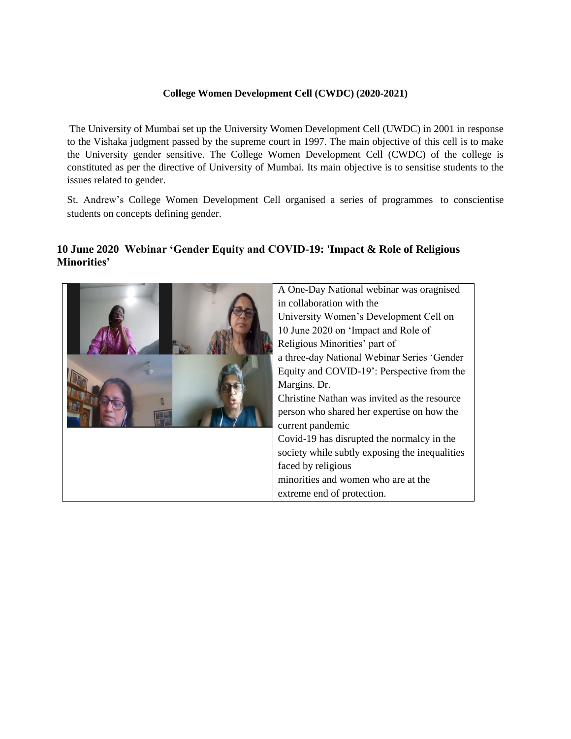## **College Women Development Cell (CWDC) (2020-2021)**

The University of Mumbai set up the University Women Development Cell (UWDC) in 2001 in response to the Vishaka judgment passed by the supreme court in 1997. The main objective of this cell is to make the University gender sensitive. The College Women Development Cell (CWDC) of the college is constituted as per the directive of University of Mumbai. Its main objective is to sensitise students to the issues related to gender.

St. Andrew's College Women Development Cell organised a series of programmes to conscientise students on concepts defining gender.

## **10 June 2020 Webinar 'Gender Equity and COVID-19: 'Impact & Role of Religious Minorities'**

| A One-Day National webinar was oragnised       |
|------------------------------------------------|
| in collaboration with the                      |
| University Women's Development Cell on         |
| 10 June 2020 on 'Impact and Role of            |
| Religious Minorities' part of                  |
| a three-day National Webinar Series 'Gender    |
| Equity and COVID-19': Perspective from the     |
| Margins. Dr.                                   |
| Christine Nathan was invited as the resource   |
| person who shared her expertise on how the     |
| current pandemic                               |
| Covid-19 has disrupted the normalcy in the     |
| society while subtly exposing the inequalities |
| faced by religious                             |
| minorities and women who are at the            |
| extreme end of protection.                     |